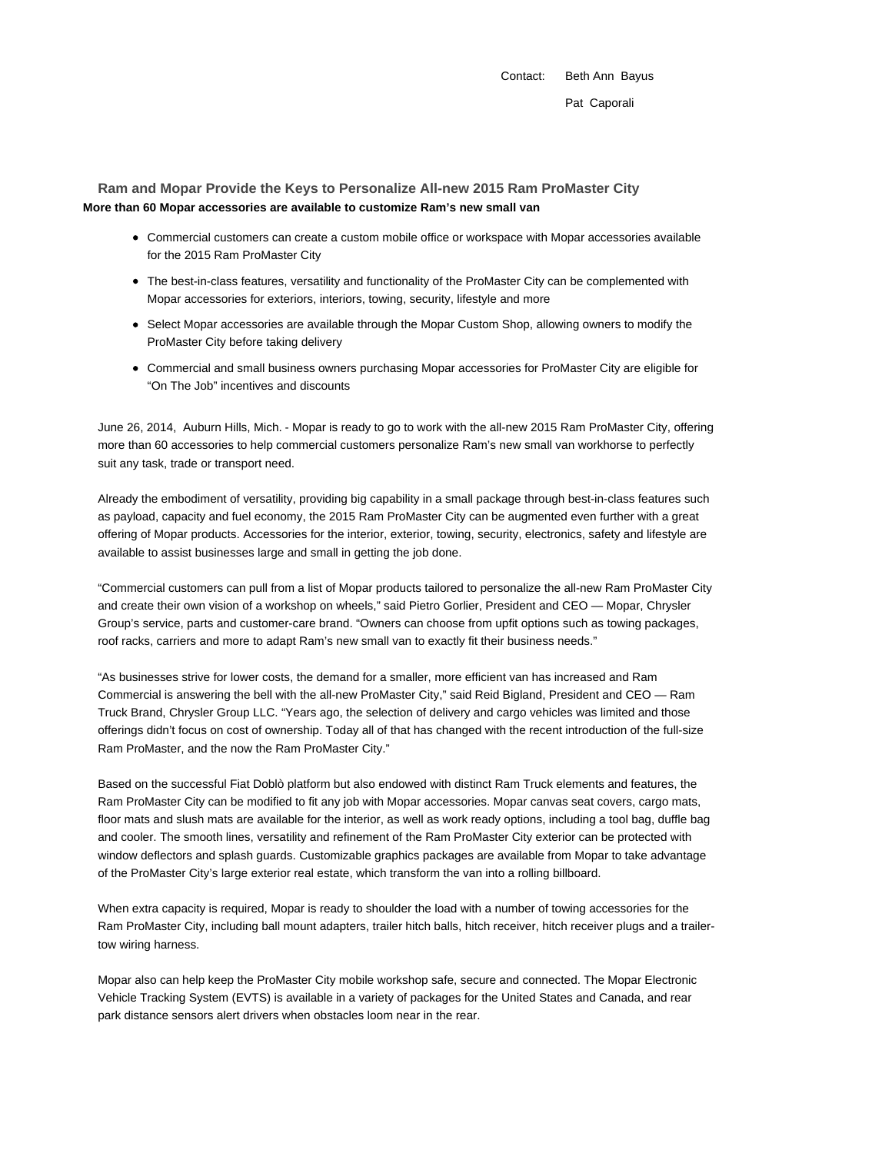Contact: Beth Ann Bayus Pat Caporali

**Ram and Mopar Provide the Keys to Personalize All-new 2015 Ram ProMaster City More than 60 Mopar accessories are available to customize Ram's new small van**

- Commercial customers can create a custom mobile office or workspace with Mopar accessories available for the 2015 Ram ProMaster City
- The best-in-class features, versatility and functionality of the ProMaster City can be complemented with Mopar accessories for exteriors, interiors, towing, security, lifestyle and more
- Select Mopar accessories are available through the Mopar Custom Shop, allowing owners to modify the ProMaster City before taking delivery
- Commercial and small business owners purchasing Mopar accessories for ProMaster City are eligible for "On The Job" incentives and discounts

June 26, 2014, Auburn Hills, Mich. - Mopar is ready to go to work with the all-new 2015 Ram ProMaster City, offering more than 60 accessories to help commercial customers personalize Ram's new small van workhorse to perfectly suit any task, trade or transport need.

Already the embodiment of versatility, providing big capability in a small package through best-in-class features such as payload, capacity and fuel economy, the 2015 Ram ProMaster City can be augmented even further with a great offering of Mopar products. Accessories for the interior, exterior, towing, security, electronics, safety and lifestyle are available to assist businesses large and small in getting the job done.

"Commercial customers can pull from a list of Mopar products tailored to personalize the all-new Ram ProMaster City and create their own vision of a workshop on wheels," said Pietro Gorlier, President and CEO — Mopar, Chrysler Group's service, parts and customer-care brand. "Owners can choose from upfit options such as towing packages, roof racks, carriers and more to adapt Ram's new small van to exactly fit their business needs."

"As businesses strive for lower costs, the demand for a smaller, more efficient van has increased and Ram Commercial is answering the bell with the all-new ProMaster City," said Reid Bigland, President and CEO — Ram Truck Brand, Chrysler Group LLC. "Years ago, the selection of delivery and cargo vehicles was limited and those offerings didn't focus on cost of ownership. Today all of that has changed with the recent introduction of the full-size Ram ProMaster, and the now the Ram ProMaster City."

Based on the successful Fiat Doblò platform but also endowed with distinct Ram Truck elements and features, the Ram ProMaster City can be modified to fit any job with Mopar accessories. Mopar canvas seat covers, cargo mats, floor mats and slush mats are available for the interior, as well as work ready options, including a tool bag, duffle bag and cooler. The smooth lines, versatility and refinement of the Ram ProMaster City exterior can be protected with window deflectors and splash guards. Customizable graphics packages are available from Mopar to take advantage of the ProMaster City's large exterior real estate, which transform the van into a rolling billboard.

When extra capacity is required, Mopar is ready to shoulder the load with a number of towing accessories for the Ram ProMaster City, including ball mount adapters, trailer hitch balls, hitch receiver, hitch receiver plugs and a trailertow wiring harness.

Mopar also can help keep the ProMaster City mobile workshop safe, secure and connected. The Mopar Electronic Vehicle Tracking System (EVTS) is available in a variety of packages for the United States and Canada, and rear park distance sensors alert drivers when obstacles loom near in the rear.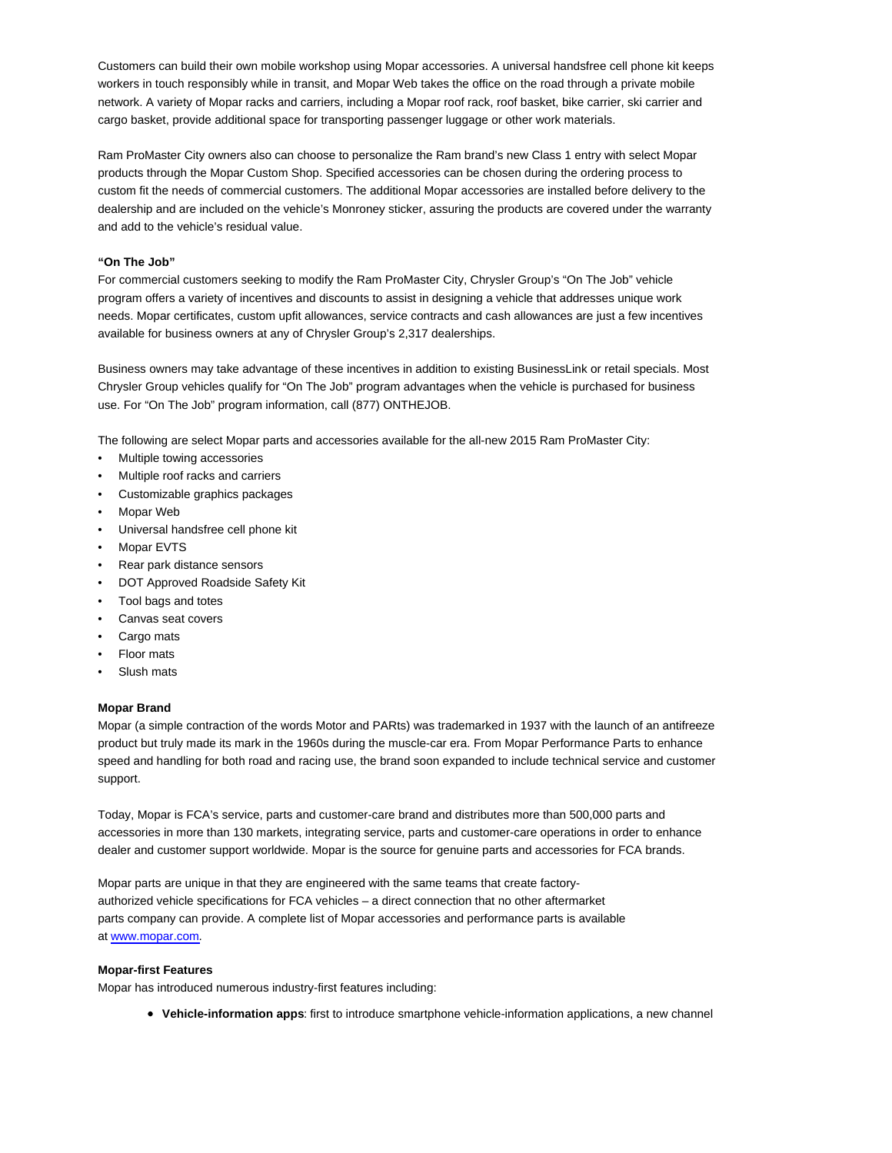Customers can build their own mobile workshop using Mopar accessories. A universal handsfree cell phone kit keeps workers in touch responsibly while in transit, and Mopar Web takes the office on the road through a private mobile network. A variety of Mopar racks and carriers, including a Mopar roof rack, roof basket, bike carrier, ski carrier and cargo basket, provide additional space for transporting passenger luggage or other work materials.

Ram ProMaster City owners also can choose to personalize the Ram brand's new Class 1 entry with select Mopar products through the Mopar Custom Shop. Specified accessories can be chosen during the ordering process to custom fit the needs of commercial customers. The additional Mopar accessories are installed before delivery to the dealership and are included on the vehicle's Monroney sticker, assuring the products are covered under the warranty and add to the vehicle's residual value.

## **"On The Job"**

For commercial customers seeking to modify the Ram ProMaster City, Chrysler Group's "On The Job" vehicle program offers a variety of incentives and discounts to assist in designing a vehicle that addresses unique work needs. Mopar certificates, custom upfit allowances, service contracts and cash allowances are just a few incentives available for business owners at any of Chrysler Group's 2,317 dealerships.

Business owners may take advantage of these incentives in addition to existing BusinessLink or retail specials. Most Chrysler Group vehicles qualify for "On The Job" program advantages when the vehicle is purchased for business use. For "On The Job" program information, call (877) ONTHEJOB.

The following are select Mopar parts and accessories available for the all-new 2015 Ram ProMaster City:

- Multiple towing accessories
- Multiple roof racks and carriers
- Customizable graphics packages
- Mopar Web
- Universal handsfree cell phone kit
- Mopar EVTS
- Rear park distance sensors
- DOT Approved Roadside Safety Kit
- Tool bags and totes
- Canvas seat covers
- Cargo mats
- Floor mats
- Slush mats

## **Mopar Brand**

Mopar (a simple contraction of the words Motor and PARts) was trademarked in 1937 with the launch of an antifreeze product but truly made its mark in the 1960s during the muscle-car era. From Mopar Performance Parts to enhance speed and handling for both road and racing use, the brand soon expanded to include technical service and customer support.

Today, Mopar is FCA's service, parts and customer-care brand and distributes more than 500,000 parts and accessories in more than 130 markets, integrating service, parts and customer-care operations in order to enhance dealer and customer support worldwide. Mopar is the source for genuine parts and accessories for FCA brands.

Mopar parts are unique in that they are engineered with the same teams that create factoryauthorized vehicle specifications for FCA vehicles – a direct connection that no other aftermarket parts company can provide. A complete list of Mopar accessories and performance parts is available at www.mopar.com.

## **Mopar-first Features**

Mopar has introduced numerous industry-first features including:

**Vehicle-information apps**: first to introduce smartphone vehicle-information applications, a new channel